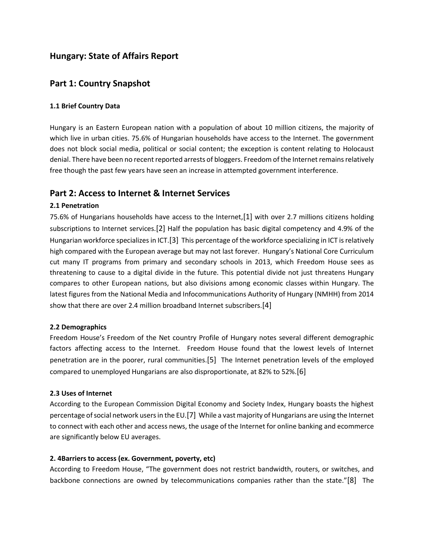# **Hungary: State of Affairs Report**

## **Part 1: Country Snapshot**

### **1.1 Brief Country Data**

Hungary is an Eastern European nation with a population of about 10 million citizens, the majority of which live in urban cities. 75.6% of Hungarian households have access to the Internet. The government does not block social media, political or social content; the exception is content relating to Holocaust denial. There have been no recent reported arrests of bloggers. Freedom of the Internet remains relatively free though the past few years have seen an increase in attempted government interference.

### **Part 2: Access to Internet & Internet Services**

### **2.1 Penetration**

75.6% of Hungarians households have access to the Internet,[1] with over 2.7 millions citizens holding subscriptions to Internet services.[2] Half the population has basic digital competency and 4.9% of the Hungarian workforce specializes in ICT.[3] This percentage of the workforce specializing in ICT is relatively high compared with the European average but may not last forever. Hungary's National Core Curriculum cut many IT programs from primary and secondary schools in 2013, which Freedom House sees as threatening to cause to a digital divide in the future. This potential divide not just threatens Hungary compares to other European nations, but also divisions among economic classes within Hungary. The latest figures from the National Media and Infocommunications Authority of Hungary (NMHH) from 2014 show that there are over 2.4 million broadband Internet subscribers.[4]

### **2.2 Demographics**

Freedom House's Freedom of the Net country Profile of Hungary notes several different demographic factors affecting access to the Internet. Freedom House found that the lowest levels of Internet penetration are in the poorer, rural communities.[5] The Internet penetration levels of the employed compared to unemployed Hungarians are also disproportionate, at 82% to 52%.[6]

### **2.3 Uses of Internet**

According to the European Commission Digital Economy and Society Index, Hungary boasts the highest percentage of social network users in the EU.[7] While a vast majority of Hungarians are using the Internet to connect with each other and access news, the usage of the Internet for online banking and ecommerce are significantly below EU averages.

### **2. 4Barriers to access (ex. Government, poverty, etc)**

According to Freedom House, "The government does not restrict bandwidth, routers, or switches, and backbone connections are owned by telecommunications companies rather than the state."[8] The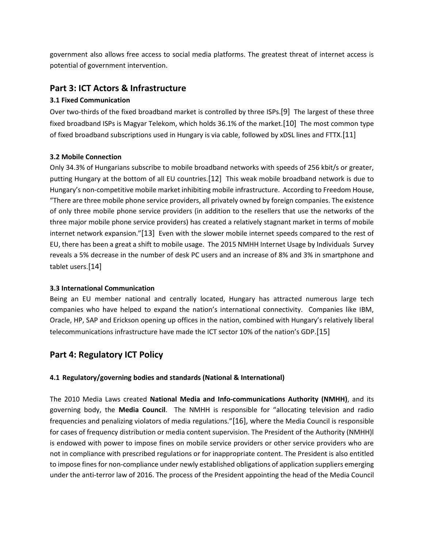government also allows free access to social media platforms. The greatest threat of internet access is potential of government intervention.

# **Part 3: ICT Actors & Infrastructure**

### **3.1 Fixed Communication**

Over two-thirds of the fixed broadband market is controlled by three ISPs.[9] The largest of these three fixed broadband ISPs is Magyar Telekom, which holds 36.1% of the market.[10] The most common type of fixed broadband subscriptions used in Hungary is via cable, followed by xDSL lines and FTTX.[11]

### **3.2 Mobile Connection**

Only 34.3% of Hungarians subscribe to mobile broadband networks with speeds of 256 kbit/s or greater, putting Hungary at the bottom of all EU countries.[12] This weak mobile broadband network is due to Hungary's non-competitive mobile market inhibiting mobile infrastructure. According to Freedom House, "There are three mobile phone service providers, all privately owned by foreign companies. The existence of only three mobile phone service providers (in addition to the resellers that use the networks of the three major mobile phone service providers) has created a relatively stagnant market in terms of mobile internet network expansion."[13] Even with the slower mobile internet speeds compared to the rest of EU, there has been a great a shift to mobile usage. The 2015 NMHH Internet Usage by Individuals Survey reveals a 5% decrease in the number of desk PC users and an increase of 8% and 3% in smartphone and tablet users.[14]

### **3.3 International Communication**

Being an EU member national and centrally located, Hungary has attracted numerous large tech companies who have helped to expand the nation's international connectivity. Companies like IBM, Oracle, HP, SAP and Erickson opening up offices in the nation, combined with Hungary's relatively liberal telecommunications infrastructure have made the ICT sector 10% of the nation's GDP.[15]

# **Part 4: Regulatory ICT Policy**

### **4.1 Regulatory/governing bodies and standards (National & International)**

The 2010 Media Laws created **National Media and Info-communications Authority (NMHH)**, and its governing body, the **Media Council**. The NMHH is responsible for "allocating television and radio frequencies and penalizing violators of media regulations."[16], where the Media Council is responsible for cases of frequency distribution or media content supervision. The President of the Authority (NMHH)l is endowed with power to impose fines on mobile service providers or other service providers who are not in compliance with prescribed regulations or for inappropriate content. The President is also entitled to impose fines for non-compliance under newly established obligations of application suppliers emerging under the anti-terror law of 2016. The process of the President appointing the head of the Media Council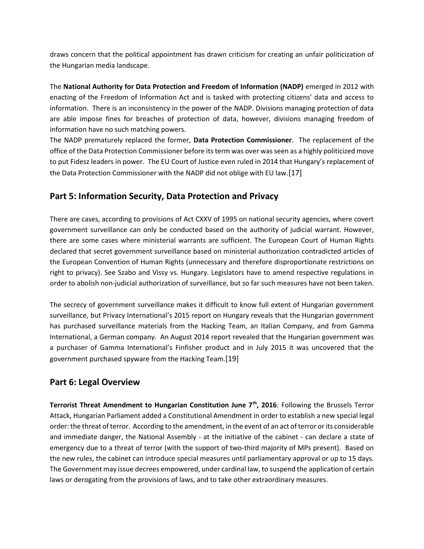draws concern that the political appointment has drawn criticism for creating an unfair politicization of the Hungarian media landscape.

The **National Authority for Data Protection and Freedom of Information (NADP)** emerged in 2012 with enacting of the Freedom of Information Act and is tasked with protecting citizens' data and access to information. There is an inconsistency in the power of the NADP. Divisions managing protection of data are able impose fines for breaches of protection of data, however, divisions managing freedom of information have no such matching powers.

The NADP prematurely replaced the former, **Data Protection Commissioner**. The replacement of the office of the Data Protection Commissioner before its term was over was seen as a highly politicized move to put Fidesz leaders in power. The EU Court of Justice even ruled in 2014 that Hungary's replacement of the Data Protection Commissioner with the NADP did not oblige with EU law.[17]

# **Part 5: Information Security, Data Protection and Privacy**

There are cases, according to provisions of Act CXXV of 1995 on national security agencies, where covert government surveillance can only be conducted based on the authority of judicial warrant. However, there are some cases where ministerial warrants are sufficient. The European Court of Human Rights declared that secret government surveillance based on ministerial authorization contradicted articles of the European Convention of Human Rights (unnecessary and therefore disproportionate restrictions on right to privacy). See Szabo and Vissy vs. Hungary. Legislators have to amend respective regulations in order to abolish non-judicial authorization of surveillance, but so far such measures have not been taken.

The secrecy of government surveillance makes it difficult to know full extent of Hungarian government surveillance, but Privacy International's 2015 report on Hungary reveals that the Hungarian government has purchased surveillance materials from the Hacking Team, an Italian Company, and from Gamma International, a German company. An August 2014 report revealed that the Hungarian government was a purchaser of Gamma International's Finfisher product and in July 2015 it was uncovered that the government purchased spyware from the Hacking Team.[19]

## **Part 6: Legal Overview**

**Terrorist Threat Amendment to Hungarian Constitution June 7th, 2016**: Following the Brussels Terror Attack, Hungarian Parliament added a Constitutional Amendment in order to establish a new special legal order: the threat of terror. According to the amendment, in the event of an act of terror or its considerable and immediate danger, the National Assembly - at the initiative of the cabinet - can declare a state of emergency due to a threat of terror (with the support of two-third majority of MPs present). Based on the new rules, the cabinet can introduce special measures until parliamentary approval or up to 15 days. The Government may issue decrees empowered, under cardinal law, to suspend the application of certain laws or derogating from the provisions of laws, and to take other extraordinary measures.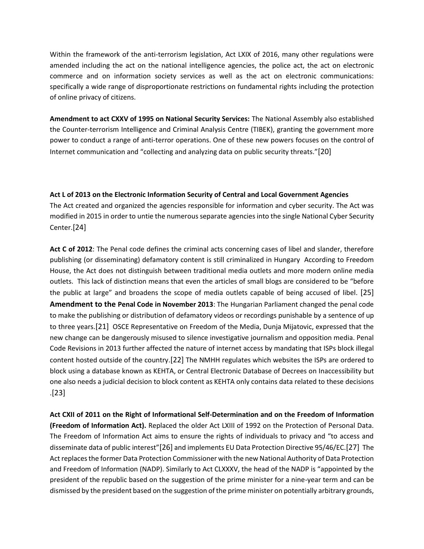Within the framework of the anti-terrorism legislation, Act LXIX of 2016, many other regulations were amended including the act on the national intelligence agencies, the police act, the act on electronic commerce and on information society services as well as the act on electronic communications: specifically a wide range of disproportionate restrictions on fundamental rights including the protection of online privacy of citizens.

**Amendment to act CXXV of 1995 on National Security Services:** The National Assembly also established the Counter-terrorism Intelligence and Criminal Analysis Centre (TIBEK), granting the government more power to conduct a range of anti-terror operations. One of these new powers focuses on the control of Internet communication and "collecting and analyzing data on public security threats."[20]

### **Act L of 2013 on the Electronic Information Security of Central and Local Government Agencies**

The Act created and organized the agencies responsible for information and cyber security. The Act was modified in 2015 in order to untie the numerous separate agencies into the single National Cyber Security Center.[24]

**Act C of 2012**: The Penal code defines the criminal acts concerning cases of libel and slander, therefore publishing (or disseminating) defamatory content is still criminalized in Hungary According to Freedom House, the Act does not distinguish between traditional media outlets and more modern online media outlets. This lack of distinction means that even the articles of small blogs are considered to be "before the public at large" and broadens the scope of media outlets capable of being accused of libel. [25] **Amendment to the Penal Code in November 2013**: The Hungarian Parliament changed the penal code to make the publishing or distribution of defamatory videos or recordings punishable by a sentence of up to three years.[21] OSCE Representative on Freedom of the Media, Dunja Mijatovic, expressed that the new change can be dangerously misused to silence investigative journalism and opposition media. Penal Code Revisions in 2013 further affected the nature of internet access by mandating that ISPs block illegal content hosted outside of the country.[22] The NMHH regulates which websites the ISPs are ordered to block using a database known as KEHTA, or Central Electronic Database of Decrees on Inaccessibility but one also needs a judicial decision to block content as KEHTA only contains data related to these decisions .[23]

**Act CXII of 2011 on the Right of Informational Self-Determination and on the Freedom of Information (Freedom of Information Act).** Replaced the older Act LXIII of 1992 on the Protection of Personal Data. The Freedom of Information Act aims to ensure the rights of individuals to privacy and "to access and disseminate data of public interest"[26] and implements EU Data Protection Directive 95/46/EC.[27] The Act replaces the former Data Protection Commissioner with the new National Authority of Data Protection and Freedom of Information (NADP). Similarly to Act CLXXXV, the head of the NADP is "appointed by the president of the republic based on the suggestion of the prime minister for a nine-year term and can be dismissed by the president based on the suggestion of the prime minister on potentially arbitrary grounds,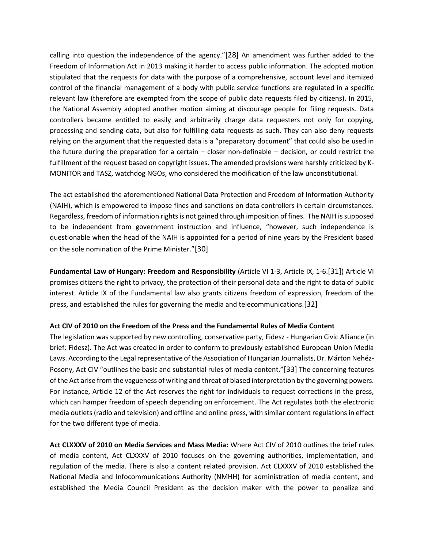calling into question the independence of the agency."[28] An amendment was further added to the Freedom of Information Act in 2013 making it harder to access public information. The adopted motion stipulated that the requests for data with the purpose of a comprehensive, account level and itemized control of the financial management of a body with public service functions are regulated in a specific relevant law (therefore are exempted from the scope of public data requests filed by citizens). In 2015, the National Assembly adopted another motion aiming at discourage people for filing requests. Data controllers became entitled to easily and arbitrarily charge data requesters not only for copying, processing and sending data, but also for fulfilling data requests as such. They can also deny requests relying on the argument that the requested data is a "preparatory document" that could also be used in the future during the preparation for a certain – closer non-definable – decision, or could restrict the fulfillment of the request based on copyright issues. The amended provisions were harshly criticized by K-MONITOR and TASZ, watchdog NGOs, who considered the modification of the law unconstitutional.

The act established the aforementioned National Data Protection and Freedom of Information Authority (NAIH), which is empowered to impose fines and sanctions on data controllers in certain circumstances. Regardless, freedom of information rights is not gained through imposition of fines. The NAIH is supposed to be independent from government instruction and influence, "however, such independence is questionable when the head of the NAIH is appointed for a period of nine years by the President based on the sole nomination of the Prime Minister."[30]

**Fundamental Law of Hungary: Freedom and Responsibility** (Article VI 1-3, Article IX, 1-6.[31]) Article VI promises citizens the right to privacy, the protection of their personal data and the right to data of public interest. Article IX of the Fundamental law also grants citizens freedom of expression, freedom of the press, and established the rules for governing the media and telecommunications.[32]

### **Act CIV of 2010 on the Freedom of the Press and the Fundamental Rules of Media Content**

The legislation was supported by new controlling, conservative party, Fidesz - Hungarian Civic Alliance (in brief: Fidesz). The Act was created in order to conform to previously established European Union Media Laws. According to the Legal representative of the Association of Hungarian Journalists, Dr. Márton Nehéz-Posony, Act CIV "outlines the basic and substantial rules of media content."[33] The concerning features of the Act arise from the vagueness of writing and threat of biased interpretation by the governing powers. For instance, Article 12 of the Act reserves the right for individuals to request corrections in the press, which can hamper freedom of speech depending on enforcement. The Act regulates both the electronic media outlets (radio and television) and offline and online press, with similar content regulations in effect for the two different type of media.

**Act CLXXXV of 2010 on Media Services and Mass Media:** Where Act CIV of 2010 outlines the brief rules of media content, Act CLXXXV of 2010 focuses on the governing authorities, implementation, and regulation of the media. There is also a content related provision. Act CLXXXV of 2010 established the National Media and Infocommunications Authority (NMHH) for administration of media content, and established the Media Council President as the decision maker with the power to penalize and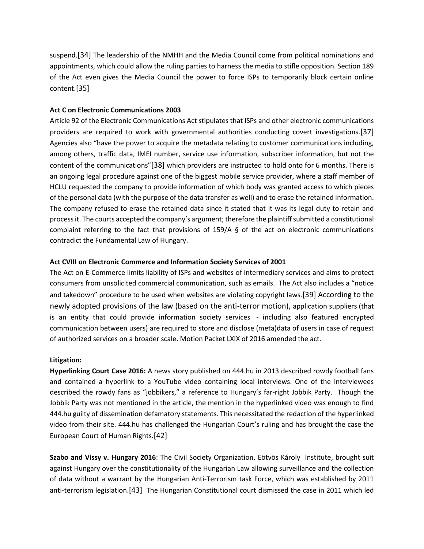suspend.[34] The leadership of the NMHH and the Media Council come from political nominations and appointments, which could allow the ruling parties to harness the media to stifle opposition. Section 189 of the Act even gives the Media Council the power to force ISPs to temporarily block certain online content.[35]

### **Act C on Electronic Communications 2003**

Article 92 of the Electronic Communications Act stipulates that ISPs and other electronic communications providers are required to work with governmental authorities conducting covert investigations.[37] Agencies also "have the power to acquire the metadata relating to customer communications including, among others, traffic data, IMEI number, service use information, subscriber information, but not the content of the communications"[38] which providers are instructed to hold onto for 6 months. There is an ongoing legal procedure against one of the biggest mobile service provider, where a staff member of HCLU requested the company to provide information of which body was granted access to which pieces of the personal data (with the purpose of the data transfer as well) and to erase the retained information. The company refused to erase the retained data since it stated that it was its legal duty to retain and process it. The courts accepted the company's argument; therefore the plaintiff submitted a constitutional complaint referring to the fact that provisions of 159/A § of the act on electronic communications contradict the Fundamental Law of Hungary.

### **Act CVIII on Electronic Commerce and Information Society Services of 2001**

The Act on E-Commerce limits liability of ISPs and websites of intermediary services and aims to protect consumers from unsolicited commercial communication, such as emails. The Act also includes a "notice and takedown" procedure to be used when websites are violating copyright laws.[39] According to the newly adopted provisions of the law (based on the anti-terror motion), application suppliers (that is an entity that could provide information society services - including also featured encrypted communication between users) are required to store and disclose (meta)data of users in case of request of authorized services on a broader scale. Motion Packet LXIX of 2016 amended the act.

#### **Litigation:**

**Hyperlinking Court Case 2016:** A news story published on 444.hu in 2013 described rowdy football fans and contained a hyperlink to a YouTube video containing local interviews. One of the interviewees described the rowdy fans as "jobbikers," a reference to Hungary's far-right Jobbik Party. Though the Jobbik Party was not mentioned in the article, the mention in the hyperlinked video was enough to find 444.hu guilty of dissemination defamatory statements. This necessitated the redaction of the hyperlinked video from their site. 444.hu has challenged the Hungarian Court's ruling and has brought the case the European Court of Human Rights.[42]

**Szabo and Vissy v. Hungary 2016**: The Civil Society Organization, Eötvös Károly Institute, brought suit against Hungary over the constitutionality of the Hungarian Law allowing surveillance and the collection of data without a warrant by the Hungarian Anti-Terrorism task Force, which was established by 2011 anti-terrorism legislation.[43] The Hungarian Constitutional court dismissed the case in 2011 which led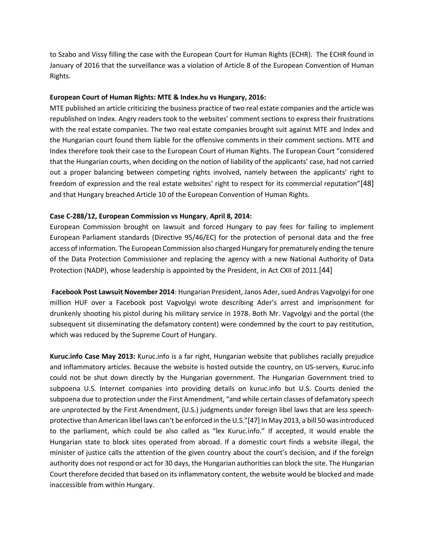to Szabo and Vissy filling the case with the European Court for Human Rights (ECHR). The ECHR found in January of 2016 that the surveillance was a violation of Article 8 of the European Convention of Human Rights.

#### **European Court of Human Rights: MTE & Index.hu vs Hungary, 2016:**

MTE published an article criticizing the business practice of two real estate companies and the article was republished on Index. Angry readers took to the websites' comment sections to express their frustrations with the real estate companies. The two real estate companies brought suit against MTE and Index and the Hungarian court found them liable for the offensive comments in their comment sections. MTE and Index therefore took their case to the European Court of Human Rights. The European Court "considered that the Hungarian courts, when deciding on the notion of liability of the applicants' case, had not carried out a proper balancing between competing rights involved, namely between the applicants' right to freedom of expression and the real estate websites' right to respect for its commercial reputation"[48] and that Hungary breached Article 10 of the European Convention of Human Rights.

### **Case C-288/12, European Commission vs Hungary**, **April 8, 2014:**

European Commission brought on lawsuit and forced Hungary to pay fees for failing to implement European Parliament standards (Directive 95/46/EC) for the protection of personal data and the free access of information. The European Commission also charged Hungary for prematurely ending the tenure of the Data Protection Commissioner and replacing the agency with a new National Authority of Data Protection (NADP), whose leadership is appointed by the President, in Act CXII of 2011.[44]

**Facebook Post Lawsuit November 2014**: Hungarian President, Janos Ader, sued Andras Vagvolgyi for one million HUF over a Facebook post Vagvolgyi wrote describing Ader's arrest and imprisonment for drunkenly shooting his pistol during his military service in 1978. Both Mr. Vagvolgyi and the portal (the subsequent sit disseminating the defamatory content) were condemned by the court to pay restitution, which was reduced by the Supreme Court of Hungary.

**Kuruc.info Case May 2013:** Kuruc.info is a far right, Hungarian website that publishes racially prejudice and inflammatory articles. Because the website is hosted outside the country, on US-servers, Kuruc.info could not be shut down directly by the Hungarian government. The Hungarian Government tried to subpoena U.S. Internet companies into providing details on kuruc.info but U.S. Courts denied the subpoena due to protection under the First Amendment, "and while certain classes of defamatory speech are unprotected by the First Amendment, (U.S.) judgments under foreign libel laws that are less speechprotective than American libel laws can't be enforced in the U.S."[47] In May 2013, a bill 50 was introduced to the parliament, which could be also called as "lex Kuruc.info." If accepted, it would enable the Hungarian state to block sites operated from abroad. If a domestic court finds a website illegal, the minister of justice calls the attention of the given country about the court's decision, and if the foreign authority does not respond or act for 30 days, the Hungarian authorities can block the site. The Hungarian Court therefore decided that based on its inflammatory content, the website would be blocked and made inaccessible from within Hungary.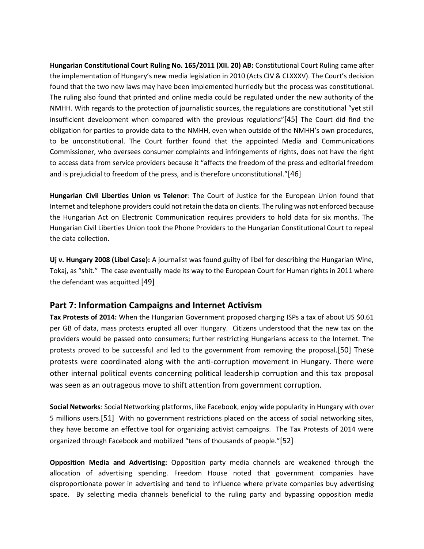**Hungarian Constitutional Court Ruling No. 165/2011 (XII. 20) AB:** Constitutional Court Ruling came after the implementation of Hungary's new media legislation in 2010 (Acts CIV & CLXXXV). The Court's decision found that the two new laws may have been implemented hurriedly but the process was constitutional. The ruling also found that printed and online media could be regulated under the new authority of the NMHH. With regards to the protection of journalistic sources, the regulations are constitutional "yet still insufficient development when compared with the previous regulations"[45] The Court did find the obligation for parties to provide data to the NMHH, even when outside of the NMHH's own procedures, to be unconstitutional. The Court further found that the appointed Media and Communications Commissioner, who oversees consumer complaints and infringements of rights, does not have the right to access data from service providers because it "affects the freedom of the press and editorial freedom and is prejudicial to freedom of the press, and is therefore unconstitutional."[46]

**Hungarian Civil Liberties Union vs Telenor**: The Court of Justice for the European Union found that Internet and telephone providers could not retain the data on clients. The ruling was not enforced because the Hungarian Act on Electronic Communication requires providers to hold data for six months. The Hungarian Civil Liberties Union took the Phone Providers to the Hungarian Constitutional Court to repeal the data collection.

**Uj v. Hungary 2008 (Libel Case):** A journalist was found guilty of libel for describing the Hungarian Wine, Tokaj, as "shit." The case eventually made its way to the European Court for Human rights in 2011 where the defendant was acquitted.[49]

## **Part 7: Information Campaigns and Internet Activism**

**Tax Protests of 2014:** When the Hungarian Government proposed charging ISPs a tax of about US \$0.61 per GB of data, mass protests erupted all over Hungary. Citizens understood that the new tax on the providers would be passed onto consumers; further restricting Hungarians access to the Internet. The protests proved to be successful and led to the government from removing the proposal.[50] These protests were coordinated along with the anti-corruption movement in Hungary. There were other internal political events concerning political leadership corruption and this tax proposal was seen as an outrageous move to shift attention from government corruption.

**Social Networks**: Social Networking platforms, like Facebook, enjoy wide popularity in Hungary with over 5 millions users.[51] With no government restrictions placed on the access of social networking sites, they have become an effective tool for organizing activist campaigns. The Tax Protests of 2014 were organized through Facebook and mobilized "tens of thousands of people."[52]

**Opposition Media and Advertising:** Opposition party media channels are weakened through the allocation of advertising spending. Freedom House noted that government companies have disproportionate power in advertising and tend to influence where private companies buy advertising space. By selecting media channels beneficial to the ruling party and bypassing opposition media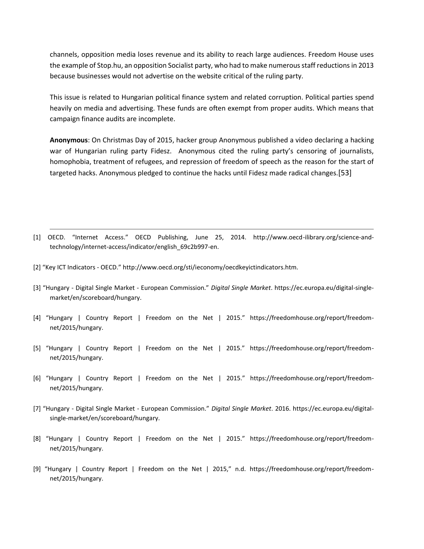channels, opposition media loses revenue and its ability to reach large audiences. Freedom House uses the example of Stop.hu, an opposition Socialist party, who had to make numerous staff reductions in 2013 because businesses would not advertise on the website critical of the ruling party.

This issue is related to Hungarian political finance system and related corruption. Political parties spend heavily on media and advertising. These funds are often exempt from proper audits. Which means that campaign finance audits are incomplete.

**Anonymous**: On Christmas Day of 2015, hacker group Anonymous published a video declaring a hacking war of Hungarian ruling party Fidesz. Anonymous cited the ruling party's censoring of journalists, homophobia, treatment of refugees, and repression of freedom of speech as the reason for the start of targeted hacks. Anonymous pledged to continue the hacks until Fidesz made radical changes.[53]

- [1] OECD. "Internet Access." OECD Publishing, June 25, 2014. http://www.oecd-ilibrary.org/science-andtechnology/internet-access/indicator/english\_69c2b997-en.
- [2] "Key ICT Indicators OECD." http://www.oecd.org/sti/ieconomy/oecdkeyictindicators.htm.
- [3] "Hungary Digital Single Market European Commission." *Digital Single Market*. https://ec.europa.eu/digital-singlemarket/en/scoreboard/hungary.
- [4] "Hungary | Country Report | Freedom on the Net | 2015." https://freedomhouse.org/report/freedomnet/2015/hungary.
- [5] "Hungary | Country Report | Freedom on the Net | 2015." https://freedomhouse.org/report/freedomnet/2015/hungary.
- [6] "Hungary | Country Report | Freedom on the Net | 2015." https://freedomhouse.org/report/freedomnet/2015/hungary.
- [7] "Hungary Digital Single Market European Commission." *Digital Single Market*. 2016. https://ec.europa.eu/digitalsingle-market/en/scoreboard/hungary.
- [8] "Hungary | Country Report | Freedom on the Net | 2015." https://freedomhouse.org/report/freedomnet/2015/hungary.
- [9] "Hungary | Country Report | Freedom on the Net | 2015," n.d. https://freedomhouse.org/report/freedomnet/2015/hungary.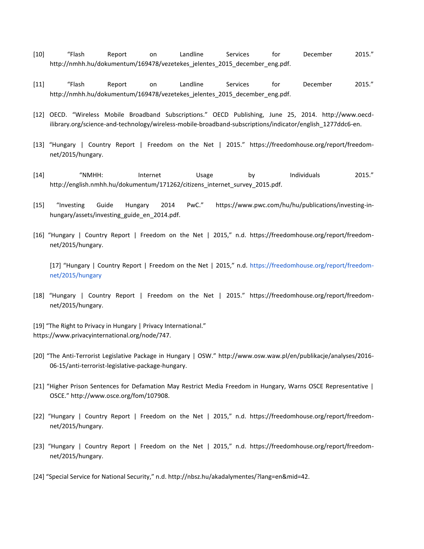- [10] "Flash Report on Landline Services for December 2015." http://nmhh.hu/dokumentum/169478/vezetekes\_jelentes\_2015\_december\_eng.pdf.
- [11] "Flash Report on Landline Services for December 2015." http://nmhh.hu/dokumentum/169478/vezetekes\_jelentes\_2015\_december\_eng.pdf.
- [12] OECD. "Wireless Mobile Broadband Subscriptions." OECD Publishing, June 25, 2014. http://www.oecdilibrary.org/science-and-technology/wireless-mobile-broadband-subscriptions/indicator/english\_1277ddc6-en.
- [13] "Hungary | Country Report | Freedom on the Net | 2015." https://freedomhouse.org/report/freedomnet/2015/hungary.
- [14] "NMHH: Internet Usage by Individuals 2015." http://english.nmhh.hu/dokumentum/171262/citizens\_internet\_survey\_2015.pdf.
- [15] "Investing Guide Hungary 2014 PwC." https://www.pwc.com/hu/hu/publications/investing-inhungary/assets/investing\_guide\_en\_2014.pdf.
- [16] "Hungary | Country Report | Freedom on the Net | 2015," n.d. https://freedomhouse.org/report/freedomnet/2015/hungary.

[17] "Hungary | Country Report | Freedom on the Net | 2015," n.d. [https://freedomhouse.org/report/freedom](https://freedomhouse.org/report/freedom-net/2015/hungary)[net/2015/hungary](https://freedomhouse.org/report/freedom-net/2015/hungary)

- [18] "Hungary | Country Report | Freedom on the Net | 2015." https://freedomhouse.org/report/freedomnet/2015/hungary.
- [19] "The Right to Privacy in Hungary | Privacy International." https://www.privacyinternational.org/node/747.
- [20] "The Anti-Terrorist Legislative Package in Hungary | OSW." http://www.osw.waw.pl/en/publikacje/analyses/2016- 06-15/anti-terrorist-legislative-package-hungary.
- [21] "Higher Prison Sentences for Defamation May Restrict Media Freedom in Hungary, Warns OSCE Representative | OSCE." http://www.osce.org/fom/107908.
- [22] "Hungary | Country Report | Freedom on the Net | 2015," n.d. https://freedomhouse.org/report/freedomnet/2015/hungary.
- [23] "Hungary | Country Report | Freedom on the Net | 2015," n.d. https://freedomhouse.org/report/freedomnet/2015/hungary.
- [24] "Special Service for National Security," n.d. http://nbsz.hu/akadalymentes/?lang=en&mid=42.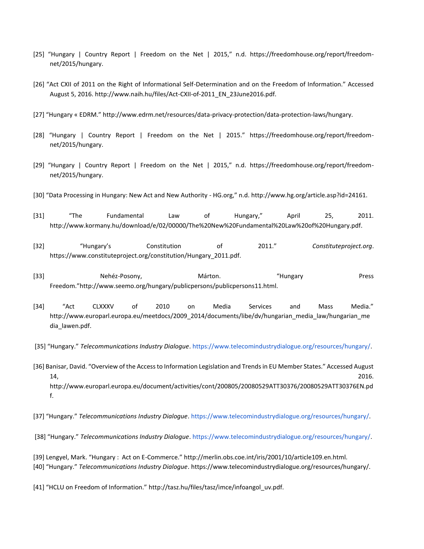- [25] "Hungary | Country Report | Freedom on the Net | 2015," n.d. https://freedomhouse.org/report/freedomnet/2015/hungary.
- [26] "Act CXII of 2011 on the Right of Informational Self-Determination and on the Freedom of Information." Accessed August 5, 2016. http://www.naih.hu/files/Act-CXII-of-2011\_EN\_23June2016.pdf.
- [27] "Hungary « EDRM." http://www.edrm.net/resources/data-privacy-protection/data-protection-laws/hungary.
- [28] "Hungary | Country Report | Freedom on the Net | 2015." https://freedomhouse.org/report/freedomnet/2015/hungary.
- [29] "Hungary | Country Report | Freedom on the Net | 2015," n.d. https://freedomhouse.org/report/freedomnet/2015/hungary.
- [30] "Data Processing in Hungary: New Act and New Authority HG.org," n.d. http://www.hg.org/article.asp?id=24161.
- [31] "The Fundamental Law of Hungary," April 25, 2011. http://www.kormany.hu/download/e/02/00000/The%20New%20Fundamental%20Law%20of%20Hungary.pdf.
- [32] "Hungary's Constitution of 2011." *Constituteproject.org*. https://www.constituteproject.org/constitution/Hungary\_2011.pdf.
- [33] Nehéz-Posony, Márton. "Hungary Press Freedom."http://www.seemo.org/hungary/publicpersons/publicpersons11.html.
- [34] "Act CLXXXV of 2010 on Media Services and Mass Media." http://www.europarl.europa.eu/meetdocs/2009\_2014/documents/libe/dv/hungarian\_media\_law/hungarian\_me dia\_lawen.pdf.
- [35] "Hungary." *Telecommunications Industry Dialogue*[.](http://h) [https://www.telecomindustrydialogue.org/resources/hungary/.](https://www.telecomindustrydialogue.org/resources/hungary/)
- [36] Banisar, David. "Overview of the Access to Information Legislation and Trends in EU Member States." Accessed August 14, 2016. http://www.europarl.europa.eu/document/activities/cont/200805/20080529ATT30376/20080529ATT30376EN.pd f.
- [37] "Hungary." *Telecommunications Industry Dialogue*[.](http://h) [https://www.telecomindustrydialogue.org/resources/hungary/.](https://www.telecomindustrydialogue.org/resources/hungary/)
- [38] "Hungary." *Telecommunications Industry Dialogue*[.](http://h) [https://www.telecomindustrydialogue.org/resources/hungary/.](https://www.telecomindustrydialogue.org/resources/hungary/)
- [39] Lengyel, Mark. "Hungary : Act on E-Commerce." http://merlin.obs.coe.int/iris/2001/10/article109.en.html. [40] "Hungary." *Telecommunications Industry Dialogue*. https://www.telecomindustrydialogue.org/resources/hungary/.
- [41] "HCLU on Freedom of Information." http://tasz.hu/files/tasz/imce/infoangol\_uv.pdf.